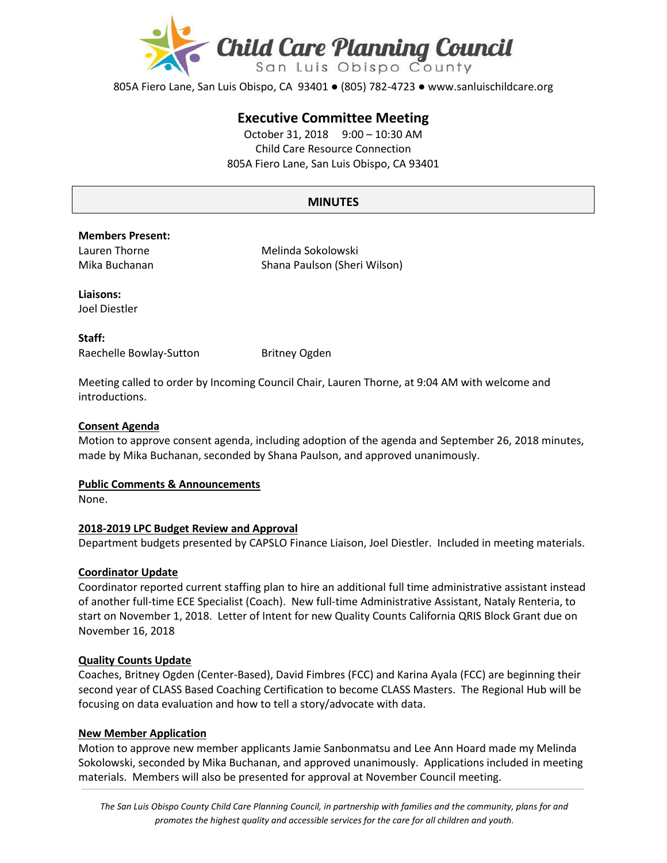

805A Fiero Lane, San Luis Obispo, CA 93401 ● (805) 782-4723 ● www.sanluischildcare.org

# **Executive Committee Meeting**

October 31, 2018 9:00 – 10:30 AM Child Care Resource Connection 805A Fiero Lane, San Luis Obispo, CA 93401

# **MINUTES**

#### **Members Present:**

Lauren Thorne Mika Buchanan Melinda Sokolowski Shana Paulson (Sheri Wilson)

**Liaisons:** Joel Diestler

**Staff:** Raechelle Bowlay-Sutton Britney Ogden

Meeting called to order by Incoming Council Chair, Lauren Thorne, at 9:04 AM with welcome and introductions.

### **Consent Agenda**

Motion to approve consent agenda, including adoption of the agenda and September 26, 2018 minutes, made by Mika Buchanan, seconded by Shana Paulson, and approved unanimously.

#### **Public Comments & Announcements**

None.

## **2018-2019 LPC Budget Review and Approval**

Department budgets presented by CAPSLO Finance Liaison, Joel Diestler. Included in meeting materials.

## **Coordinator Update**

Coordinator reported current staffing plan to hire an additional full time administrative assistant instead of another full-time ECE Specialist (Coach). New full-time Administrative Assistant, Nataly Renteria, to start on November 1, 2018. Letter of Intent for new Quality Counts California QRIS Block Grant due on November 16, 2018

#### **Quality Counts Update**

Coaches, Britney Ogden (Center-Based), David Fimbres (FCC) and Karina Ayala (FCC) are beginning their second year of CLASS Based Coaching Certification to become CLASS Masters. The Regional Hub will be focusing on data evaluation and how to tell a story/advocate with data.

#### **New Member Application**

Motion to approve new member applicants Jamie Sanbonmatsu and Lee Ann Hoard made my Melinda Sokolowski, seconded by Mika Buchanan, and approved unanimously. Applications included in meeting materials. Members will also be presented for approval at November Council meeting.